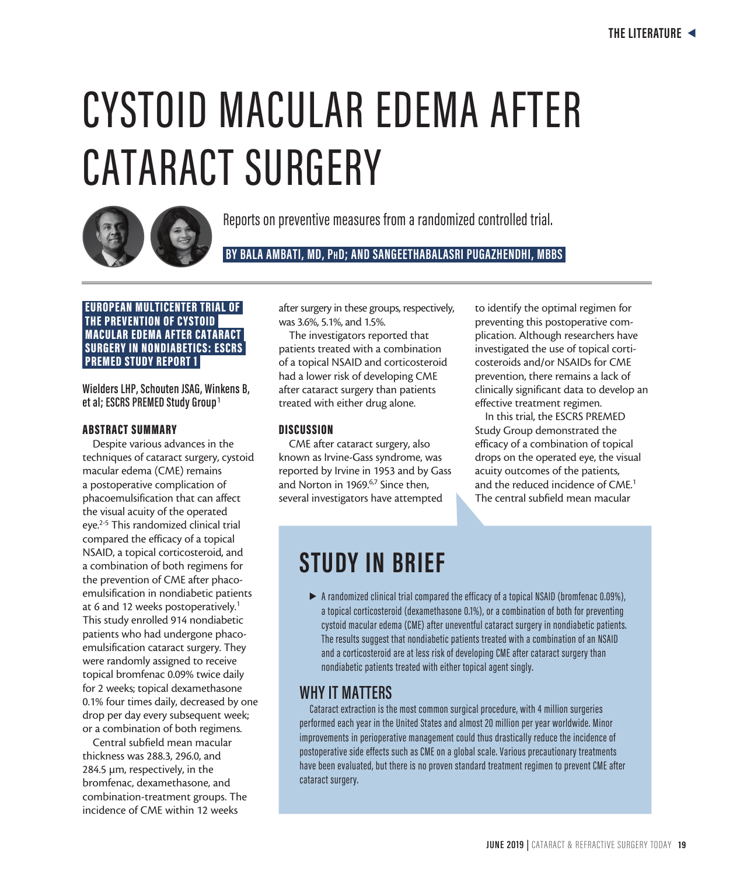# CYSTOID MACULAR EDEMA AFTER CATARACT SURGERY



Reports on preventive measures from a randomized controlled trial.

 **BY BALA AMBATI, MD, PhD; AND SANGEETHABALASRI PUGAZHENDHI, MBBS** 

### EUROPEAN MULTICENTER TRIAL OF THE PREVENTION OF CYSTOID MACULAR EDEMA AFTER CATARACT SURGERY IN NONDIABETICS: ESCRS PREMED STUDY REPORT 1

**Wielders LHP, Schouten JSAG, Winkens B, et al; ESCRS PREMED Study Group**<sup>1</sup>

### ABSTRACT SUMMARY

Despite various advances in the techniques of cataract surgery, cystoid macular edema (CME) remains a postoperative complication of phacoemulsification that can affect the visual acuity of the operated eye.2-5 This randomized clinical trial compared the efficacy of a topical NSAID, a topical corticosteroid, and a combination of both regimens for the prevention of CME after phacoemulsification in nondiabetic patients at 6 and 12 weeks postoperatively.<sup>1</sup> This study enrolled 914 nondiabetic patients who had undergone phacoemulsification cataract surgery. They were randomly assigned to receive topical bromfenac 0.09% twice daily for 2 weeks; topical dexamethasone 0.1% four times daily, decreased by one drop per day every subsequent week; or a combination of both regimens.

Central subfield mean macular thickness was 288.3, 296.0, and 284.5 µm, respectively, in the bromfenac, dexamethasone, and combination-treatment groups. The incidence of CME within 12 weeks

after surgery in these groups, respectively, was 3.6%, 5.1%, and 1.5%.

The investigators reported that patients treated with a combination of a topical NSAID and corticosteroid had a lower risk of developing CME after cataract surgery than patients treated with either drug alone.

### **DISCUSSION**

CME after cataract surgery, also known as Irvine-Gass syndrome, was reported by Irvine in 1953 and by Gass and Norton in 1969.<sup>6,7</sup> Since then, several investigators have attempted

to identify the optimal regimen for preventing this postoperative complication. Although researchers have investigated the use of topical corticosteroids and/or NSAIDs for CME prevention, there remains a lack of clinically significant data to develop an effective treatment regimen.

In this trial, the ESCRS PREMED Study Group demonstrated the efficacy of a combination of topical drops on the operated eye, the visual acuity outcomes of the patients, and the reduced incidence of CME.<sup>1</sup> The central subfield mean macular

### **STUDY IN BRIEF**

 $\blacktriangleright$  A randomized clinical trial compared the efficacy of a topical NSAID (bromfenac 0.09%), a topical corticosteroid (dexamethasone 0.1%), or a combination of both for preventing cystoid macular edema (CME) after uneventful cataract surgery in nondiabetic patients. The results suggest that nondiabetic patients treated with a combination of an NSAID and a corticosteroid are at less risk of developing CME after cataract surgery than nondiabetic patients treated with either topical agent singly.

### **WHY IT MATTERS**

Cataract extraction is the most common surgical procedure, with 4 million surgeries performed each year in the United States and almost 20 million per year worldwide. Minor improvements in perioperative management could thus drastically reduce the incidence of postoperative side effects such as CME on a global scale. Various precautionary treatments have been evaluated, but there is no proven standard treatment regimen to prevent CME after cataract surgery.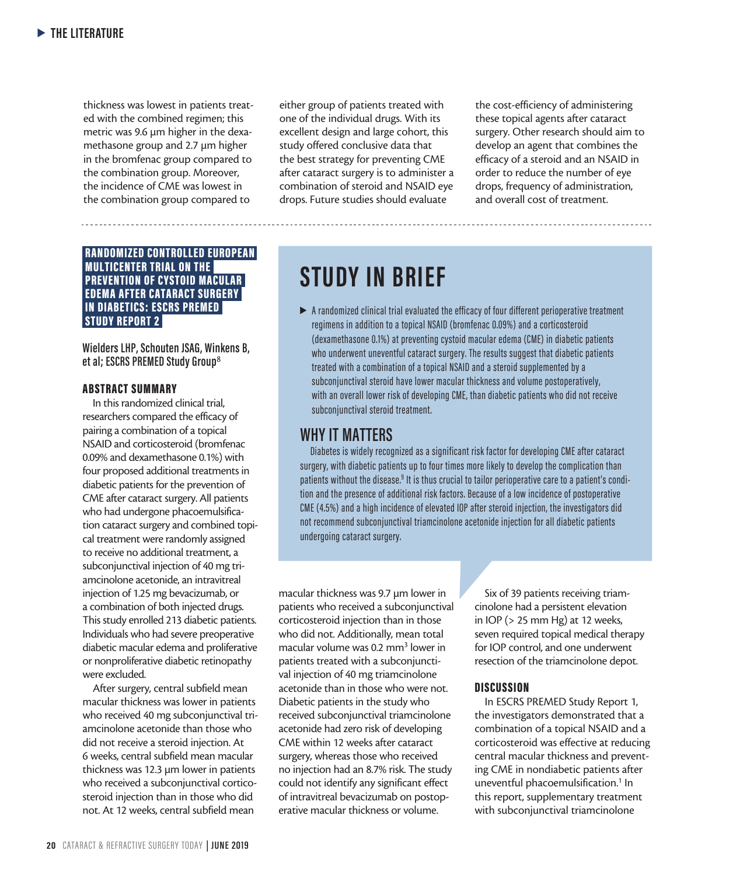thickness was lowest in patients treated with the combined regimen; this metric was 9.6 µm higher in the dexamethasone group and 2.7 µm higher in the bromfenac group compared to the combination group. Moreover, the incidence of CME was lowest in the combination group compared to

 RANDOMIZED CONTROLLED EUROPEAN MULTICENTER TRIAL ON THE PREVENTION OF CYSTOID MACULAR EDEMA AFTER CATARACT SURGERY IN DIABETICS: ESCRS PREMED STUDY REPORT 2

**Wielders LHP, Schouten JSAG, Winkens B, et al; ESCRS PREMED Study Group**<sup>8</sup>

### ABSTRACT SUMMARY

In this randomized clinical trial, researchers compared the efficacy of pairing a combination of a topical NSAID and corticosteroid (bromfenac 0.09% and dexamethasone 0.1%) with four proposed additional treatments in diabetic patients for the prevention of CME after cataract surgery. All patients who had undergone phacoemulsification cataract surgery and combined topical treatment were randomly assigned to receive no additional treatment, a subconjunctival injection of 40 mg triamcinolone acetonide, an intravitreal injection of 1.25 mg bevacizumab, or a combination of both injected drugs. This study enrolled 213 diabetic patients. Individuals who had severe preoperative diabetic macular edema and proliferative or nonproliferative diabetic retinopathy were excluded.

After surgery, central subfield mean macular thickness was lower in patients who received 40 mg subconjunctival triamcinolone acetonide than those who did not receive a steroid injection. At 6 weeks, central subfield mean macular thickness was 12.3 µm lower in patients who received a subconjunctival corticosteroid injection than in those who did not. At 12 weeks, central subfield mean

either group of patients treated with one of the individual drugs. With its excellent design and large cohort, this study offered conclusive data that the best strategy for preventing CME after cataract surgery is to administer a combination of steroid and NSAID eye drops. Future studies should evaluate

the cost-efficiency of administering these topical agents after cataract surgery. Other research should aim to develop an agent that combines the efficacy of a steroid and an NSAID in order to reduce the number of eye drops, frequency of administration, and overall cost of treatment.

## **STUDY IN BRIEF**

 $\blacktriangleright$  A randomized clinical trial evaluated the efficacy of four different perioperative treatment regimens in addition to a topical NSAID (bromfenac 0.09%) and a corticosteroid (dexamethasone 0.1%) at preventing cystoid macular edema (CME) in diabetic patients who underwent uneventful cataract surgery. The results suggest that diabetic patients treated with a combination of a topical NSAID and a steroid supplemented by a subconjunctival steroid have lower macular thickness and volume postoperatively, with an overall lower risk of developing CME, than diabetic patients who did not receive subconjunctival steroid treatment.

### **WHY IT MATTERS**

Diabetes is widely recognized as a significant risk factor for developing CME after cataract surgery, with diabetic patients up to four times more likely to develop the complication than patients without the disease.<sup>9</sup> It is thus crucial to tailor perioperative care to a patient's condition and the presence of additional risk factors. Because of a low incidence of postoperative CME (4.5%) and a high incidence of elevated IOP after steroid injection, the investigators did not recommend subconjunctival triamcinolone acetonide injection for all diabetic patients undergoing cataract surgery.

macular thickness was 9.7 µm lower in patients who received a subconjunctival corticosteroid injection than in those who did not. Additionally, mean total macular volume was 0.2 mm<sup>3</sup> lower in patients treated with a subconjunctival injection of 40 mg triamcinolone acetonide than in those who were not. Diabetic patients in the study who received subconjunctival triamcinolone acetonide had zero risk of developing CME within 12 weeks after cataract surgery, whereas those who received no injection had an 8.7% risk. The study could not identify any significant effect of intravitreal bevacizumab on postoperative macular thickness or volume.

Six of 39 patients receiving triamcinolone had a persistent elevation in IOP (> 25 mm Hg) at 12 weeks, seven required topical medical therapy for IOP control, and one underwent resection of the triamcinolone depot.

### **DISCUSSION**

In ESCRS PREMED Study Report 1, the investigators demonstrated that a combination of a topical NSAID and a corticosteroid was effective at reducing central macular thickness and preventing CME in nondiabetic patients after uneventful phacoemulsification.<sup>1</sup> In this report, supplementary treatment with subconjunctival triamcinolone